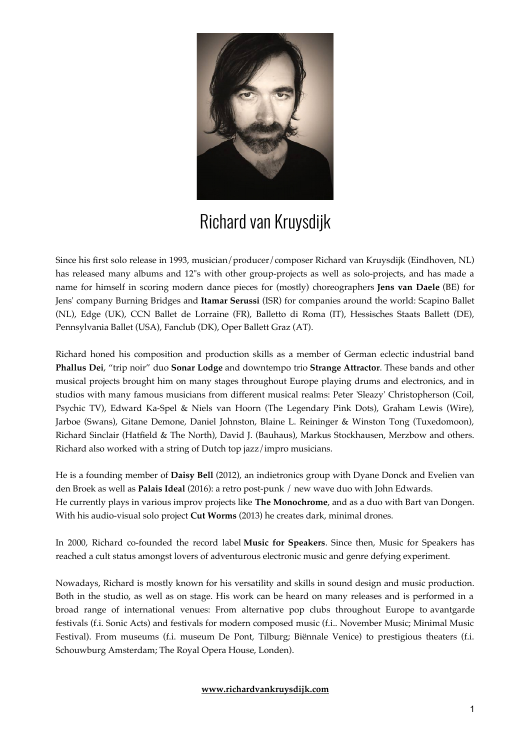

# Richard van Kruysdijk

Since his frst solo release in 1993, musician/producer/composer Richard van Kruysdijk (Eindhoven, NL) has released many albums and 12"s with other group-projects as well as solo-projects, and has made a name for himself in scoring modern dance pieces for (mostly) choreographers **Jens van Daele** (BE) for Jens' company Burning Bridges and **Itamar Serussi** (ISR) for companies around the world: Scapino Ballet (NL), Edge (UK), CCN Ballet de Lorraine (FR), Balletto di Roma (IT), Hessisches Staats Ballett (DE), Pennsylvania Ballet (USA), Fanclub (DK), Oper Ballett Graz (AT).

Richard honed his composition and production skills as a member of German eclectic industrial band **Phallus Dei**, "trip noir" duo **Sonar Lodge** and downtempo trio **Strange Attractor**. These bands and other musical projects brought him on many stages throughout Europe playing drums and electronics, and in studios with many famous musicians from different musical realms: Peter 'Sleazy' Christopherson (Coil, Psychic TV), Edward Ka-Spel & Niels van Hoorn (The Legendary Pink Dots), Graham Lewis (Wire), Jarboe (Swans), Gitane Demone, Daniel Johnston, Blaine L. Reininger & Winston Tong (Tuxedomoon), Richard Sinclair (Hatfeld & The North), David J. (Bauhaus), Markus Stockhausen, Merzbow and others. Richard also worked with a string of Dutch top jazz/impro musicians.

He is a founding member of **Daisy Bell** (2012), an indietronics group with Dyane Donck and Evelien van den Broek as well as **Palais Ideal** (2016): a retro post-punk / new wave duo with John Edwards. He currently plays in various improv projects like **The Monochrome**, and as a duo with Bart van Dongen. With his audio-visual solo project **Cut Worms** (2013) he creates dark, minimal drones.

In 2000, Richard co-founded the record label **Music for Speakers**. Since then, Music for Speakers has reached a cult status amongst lovers of adventurous electronic music and genre defying experiment.

Nowadays, Richard is mostly known for his versatility and skills in sound design and music production. Both in the studio, as well as on stage. His work can be heard on many releases and is performed in a broad range of international venues: From alternative pop clubs throughout Europe to avantgarde festivals (f.i. Sonic Acts) and festivals for modern composed music (f.i.. November Music; Minimal Music Festival). From museums (f.i. museum De Pont, Tilburg; Biënnale Venice) to prestigious theaters (f.i. Schouwburg Amsterdam; The Royal Opera House, Londen).

#### **[www.richardvankruysdijk.com](http://www.richardvankruysdijk.com/)**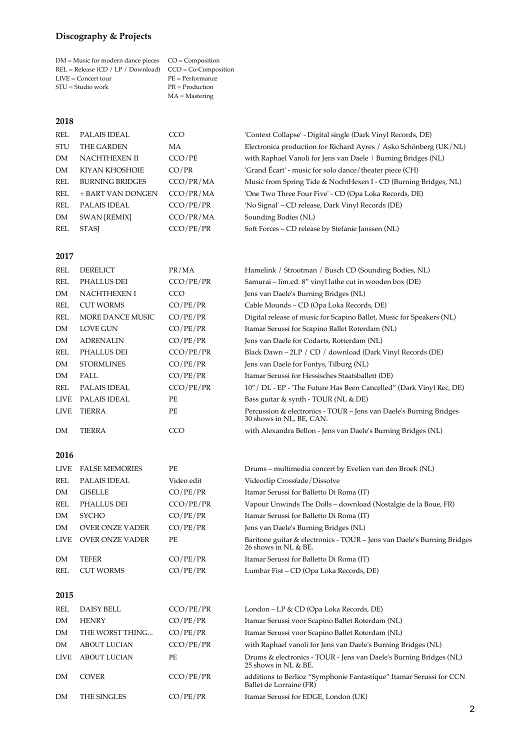## **Discography & Projects**

| $DM = Music$ for modern dance pieces $CO = Composition$     |                    |
|-------------------------------------------------------------|--------------------|
| $REL = Release (CD / LP / Download)$ $CCO = Co-Composition$ |                    |
| $LIVE =$ Concert tour                                       | $PE = Performance$ |
| $STU = Studio work$                                         | $PR = Production$  |
|                                                             | $MA = Mastering$   |
|                                                             |                    |

#### **2018**

| REL        | PALAIS IDEAL           | CCO       | 'Context Collapse' - Digital single (Dark Vinyl Records, DE)      |
|------------|------------------------|-----------|-------------------------------------------------------------------|
| <b>STU</b> | THE GARDEN             | МA        | Electronica production for Richard Ayres / Asko Schönberg (UK/NL) |
| DM         | <b>NACHTHEXEN II</b>   | CCO/PE    | with Raphael Vanoli for Jens van Daele   Burning Bridges (NL)     |
| <b>DM</b>  | KIYAN KHOSHOIE         | CO/PR     | 'Grand Écart' - music for solo dance/theater piece (CH)           |
| REL        | <b>BURNING BRIDGES</b> | CCO/PR/MA | Music from Spring Tide & NochtHexen I - CD (Burning Bridges, NL)  |
| REL        | + BART VAN DONGEN      | CCO/PR/MA | 'One Two Three Four Five' - CD (Opa Loka Records, DE)             |
| REL        | PALAIS IDEAL           | CCO/PE/PR | 'No Signal' - CD release, Dark Vinyl Records (DE)                 |
| DM         | <b>SWAN [REMIX]</b>    | CCO/PR/MA | Sounding Bodies (NL)                                              |
| REL        | <b>STASI</b>           | CCO/PE/PR | Soft Forces – CD release by Stefanie Janssen (NL)                 |
|            |                        |           |                                                                   |

#### **2017**

| REL         | <b>DERELICT</b>     | PR/MA      | Hamelink / Strootman / Busch CD (Sounding Bodies, NL)                                          |
|-------------|---------------------|------------|------------------------------------------------------------------------------------------------|
| REL         | PHALLUS DEI         | CCO/PE/PR  | Samurai – lim.ed. 8" vinyl lathe cut in wooden box (DE)                                        |
| DM          | <b>NACHTHEXEN I</b> | <b>CCO</b> | Jens van Daele's Burning Bridges (NL)                                                          |
| REL         | <b>CUT WORMS</b>    | CO/PE/PR   | Cable Mounds – CD (Opa Loka Records, DE)                                                       |
| REL         | MORE DANCE MUSIC    | CO/PE/PR   | Digital release of music for Scapino Ballet, Music for Speakers (NL)                           |
| DM          | LOVE GUN            | CO/PE/PR   | Itamar Serussi for Scapino Ballet Roterdam (NL)                                                |
| DM          | <b>ADRENALIN</b>    | CO/PE/PR   | Jens van Daele for Codarts, Rotterdam (NL)                                                     |
| REL         | PHALLUS DEI         | CCO/PE/PR  | Black Dawn - 2LP / CD / download (Dark Vinyl Records (DE)                                      |
| DM          | <b>STORMLINES</b>   | CO/PE/PR   | Jens van Daele for Fontys, Tilburg (NL)                                                        |
| DM          | FALL                | CO/PE/PR   | Itamar Serussi for Hessisches Staatsballett (DE)                                               |
| REL         | <b>PALAIS IDEAL</b> | CCO/PE/PR  | 10" / DL - EP - 'The Future Has Been Cancelled" (Dark Vinyl Rec, DE)                           |
| <b>LIVE</b> | <b>PALAIS IDEAL</b> | PE         | Bass guitar & synth - TOUR (NL & DE)                                                           |
| <b>LIVE</b> | TIERRA              | PE         | Percussion & electronics - TOUR – Jens van Daele's Burning Bridges<br>30 shows in NL, BE, CAN. |
| DM          | TIERRA              | CCO        | with Alexandra Bellon - Jens van Daele's Burning Bridges (NL)                                  |

#### **2016**

| LIVE        | <b>FALSE MEMORIES</b>  | PE         | Drums - multimedia concert by Evelien van den Broek (NL)                                        |
|-------------|------------------------|------------|-------------------------------------------------------------------------------------------------|
| REL         | PALAIS IDEAL           | Video edit | Videoclip Crossfade/Dissolve                                                                    |
| DM          | <b>GISELLE</b>         | CO/PE/PR   | Itamar Serussi for Balletto Di Roma (IT)                                                        |
| REL         | PHALLUS DEI            | CCO/PE/PR  | Vapour Unwinds The Dolls – download (Nostalgie de la Boue, FR)                                  |
| DM          | <b>SYCHO</b>           | CO/PE/PR   | Itamar Serussi for Balletto Di Roma (IT)                                                        |
| DM          | <b>OVER ONZE VADER</b> | CO/PE/PR   | Jens van Daele's Burning Bridges (NL)                                                           |
| <b>LIVE</b> | <b>OVER ONZE VADER</b> | РE         | Baritone guitar & electronics - TOUR – Jens van Daele's Burning Bridges<br>26 shows in NL & BE. |
| DM          | <b>TEFER</b>           | CO/PE/PR   | Itamar Serussi for Balletto Di Roma (IT)                                                        |
| REL         | <b>CUT WORMS</b>       | CO/PE/PR   | Lumbar Fist – CD (Opa Loka Records, DE)                                                         |
|             |                        |            |                                                                                                 |
|             |                        |            |                                                                                                 |

### **2015**

| REL         | <b>DAISY BELL</b>   | CCO/PE/PR | London – LP & CD (Opa Loka Records, DE)                                                        |
|-------------|---------------------|-----------|------------------------------------------------------------------------------------------------|
| DM          | <b>HENRY</b>        | CO/PE/PR  | Itamar Serussi voor Scapino Ballet Roterdam (NL)                                               |
| DM          | THE WORST THING     | CO/PE/PR  | Itamar Serussi voor Scapino Ballet Roterdam (NL)                                               |
| <b>DM</b>   | <b>ABOUT LUCIAN</b> | CCO/PE/PR | with Raphael vanoli for Jens van Daele's Burning Bridges (NL)                                  |
| <b>LIVE</b> | <b>ABOUT LUCIAN</b> | PE.       | Drums & electronics - TOUR - Jens van Daele's Burning Bridges (NL)<br>25 shows in NL & BE.     |
| DM          | <b>COVER</b>        | CCO/PE/PR | additions to Berlioz "Symphonie Fantastique" Itamar Serussi for CCN<br>Ballet de Lorraine (FR) |
| DM          | THE SINGLES         | CO/PE/PR  | Itamar Serussi for EDGE, London (UK)                                                           |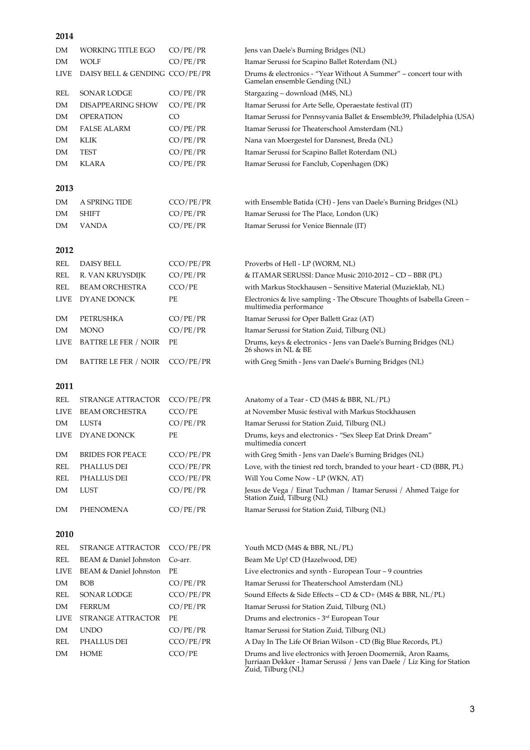| 2014        |                                |           |                                                                                                                                           |
|-------------|--------------------------------|-----------|-------------------------------------------------------------------------------------------------------------------------------------------|
| DM          | WORKING TITLE EGO              | CO/PE/PR  | Jens van Daele's Burning Bridges (NL)                                                                                                     |
| DM          | <b>WOLF</b>                    | CO/PE/PR  | Itamar Serussi for Scapino Ballet Roterdam (NL)                                                                                           |
| <b>LIVE</b> | DAISY BELL & GENDING CCO/PE/PR |           | Drums & electronics - "Year Without A Summer" – concert tour with<br>Gamelan ensemble Gending (NL)                                        |
| REL         | <b>SONAR LODGE</b>             | CO/PE/PR  | Stargazing - download (M4S, NL)                                                                                                           |
| DM          | <b>DISAPPEARING SHOW</b>       | CO/PE/PR  | Itamar Serussi for Arte Selle, Operaestate festival (IT)                                                                                  |
| DM          | <b>OPERATION</b>               | CO        | Itamar Serussi for Pennsyvania Ballet & Ensemble39, Philadelphia (USA)                                                                    |
| DM          | <b>FALSE ALARM</b>             | CO/PE/PR  | Itamar Serussi for Theaterschool Amsterdam (NL)                                                                                           |
| DM          | KLIK                           | CO/PE/PR  | Nana van Moergestel for Dansnest, Breda (NL)                                                                                              |
| DM          | <b>TEST</b>                    | CO/PE/PR  | Itamar Serussi for Scapino Ballet Roterdam (NL)                                                                                           |
| DM          | KLARA                          | CO/PE/PR  | Itamar Serussi for Fanclub, Copenhagen (DK)                                                                                               |
| 2013        |                                |           |                                                                                                                                           |
| DM          | A SPRING TIDE                  | CCO/PE/PR | with Ensemble Batida (CH) - Jens van Daele's Burning Bridges (NL)                                                                         |
| DM          | <b>SHIFT</b>                   | CO/PE/PR  | Itamar Serussi for The Place, London (UK)                                                                                                 |
| DM          | <b>VANDA</b>                   | CO/PE/PR  | Itamar Serussi for Venice Biennale (IT)                                                                                                   |
| 2012        |                                |           |                                                                                                                                           |
| REL         | DAISY BELL                     | CCO/PE/PR | Proverbs of Hell - LP (WORM, NL)                                                                                                          |
| REL         | R. VAN KRUYSDIJK               | CO/PE/PR  | & ITAMAR SERUSSI: Dance Music 2010-2012 – CD – BBR (PL)                                                                                   |
| REL         | <b>BEAM ORCHESTRA</b>          | CCO/PE    | with Markus Stockhausen - Sensitive Material (Muzieklab, NL)                                                                              |
| <b>LIVE</b> | DYANE DONCK                    | PE        | Electronics & live sampling - The Obscure Thoughts of Isabella Green -<br>multimedia performance                                          |
| DM          | PETRUSHKA                      | CO/PE/PR  | Itamar Serussi for Oper Ballett Graz (AT)                                                                                                 |
| DM          | <b>MONO</b>                    | CO/PE/PR  | Itamar Serussi for Station Zuid, Tilburg (NL)                                                                                             |
| <b>LIVE</b> | <b>BATTRE LE FER / NOIR</b>    | PЕ        | Drums, keys & electronics - Jens van Daele's Burning Bridges (NL)<br>26 shows in NL & BE                                                  |
| DM          | <b>BATTRE LE FER / NOIR</b>    | CCO/PE/PR | with Greg Smith - Jens van Daele's Burning Bridges (NL)                                                                                   |
| 2011        |                                |           |                                                                                                                                           |
| REL         | STRANGE ATTRACTOR              | CCO/PE/PR | Anatomy of a Tear - CD (M4S & BBR, NL/PL)                                                                                                 |
| <b>LIVE</b> | <b>BEAM ORCHESTRA</b>          | CCO/PE    | at November Music festival with Markus Stockhausen                                                                                        |
| DM          | LUST4                          | CO/PE/PR  | Itamar Serussi for Station Zuid, Tilburg (NL)                                                                                             |
| <b>LIVE</b> | <b>DYANE DONCK</b>             | PE        | Drums, keys and electronics - "Sex Sleep Eat Drink Dream"<br>multimedia concert                                                           |
| DM          | <b>BRIDES FOR PEACE</b>        | CCO/PE/PR | with Greg Smith - Jens van Daele's Burning Bridges (NL)                                                                                   |
| REL         | PHALLUS DEI                    | CCO/PE/PR | Love, with the tiniest red torch, branded to your heart - CD (BBR, PL)                                                                    |
| REL         | PHALLUS DEI                    | CCO/PE/PR | Will You Come Now - LP (WKN, AT)                                                                                                          |
| DM          | LUST                           | CO/PE/PR  | Jesus de Vega / Einat Tuchman / Itamar Serussi / Ahmed Taige for<br>Station Zuid, Tilburg (NL)                                            |
| DM          | PHENOMENA                      | CO/PE/PR  | Itamar Serussi for Station Zuid, Tilburg (NL)                                                                                             |
| 2010        |                                |           |                                                                                                                                           |
| REL         | STRANGE ATTRACTOR              | CCO/PE/PR | Youth MCD (M4S & BBR, NL/PL)                                                                                                              |
| REL         | BEAM & Daniel Johnston         | Co-arr.   | Beam Me Up! CD (Hazelwood, DE)                                                                                                            |
| <b>LIVE</b> | BEAM & Daniel Johnston         | PE        | Live electronics and synth - European Tour - 9 countries                                                                                  |
| DM          | <b>BOB</b>                     | CO/PE/PR  | Itamar Serussi for Theaterschool Amsterdam (NL)                                                                                           |
| REL         | SONAR LODGE                    | CCO/PE/PR | Sound Effects & Side Effects - CD & CD+ (M4S & BBR, NL/PL)                                                                                |
| DM          | <b>FERRUM</b>                  | CO/PE/PR  | Itamar Serussi for Station Zuid, Tilburg (NL)                                                                                             |
| <b>LIVE</b> | STRANGE ATTRACTOR              | PE        | Drums and electronics - 3 <sup>rd</sup> European Tour                                                                                     |
| DM          | <b>UNDO</b>                    | CO/PE/PR  | Itamar Serussi for Station Zuid, Tilburg (NL)                                                                                             |
| REL         | PHALLUS DEI                    | CCO/PE/PR | A Day In The Life Of Brian Wilson - CD (Big Blue Records, PL)                                                                             |
| DM          | HOME                           | CCO/PE    | Drums and live electronics with Jeroen Doomernik, Aron Raams,<br>Jurriaan Dekker - Itamar Serussi / Jens van Daele / Liz King for Station |

Zuid, Tilburg (NL)